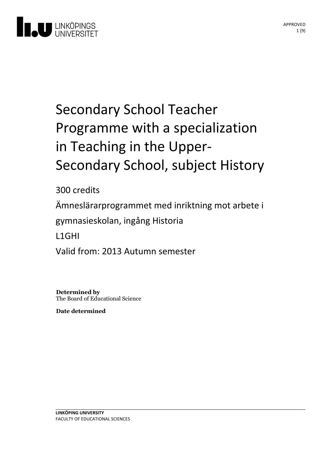

# Secondary School Teacher Programme with a specialization in Teaching in the Upper-<br>Secondary School, subject History

300 credits

Ämneslärarprogrammet med inriktning motarbete i

gymnasieskolan, ingång Historia

L1GHI

Valid from: 2013 Autumn semester

**Determined by** The Board of Educational Science

**Date determined**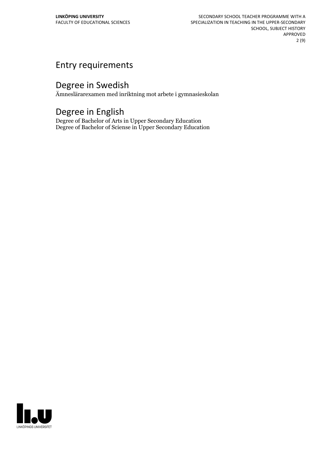## Entry requirements

## Degree in Swedish

Ämneslärarexamen med inriktning mot arbete i gymnasieskolan

## Degree in English

Degree of Bachelor of Arts in Upper Secondary Education Degree of Bachelor of Sciense in Upper Secondary Education

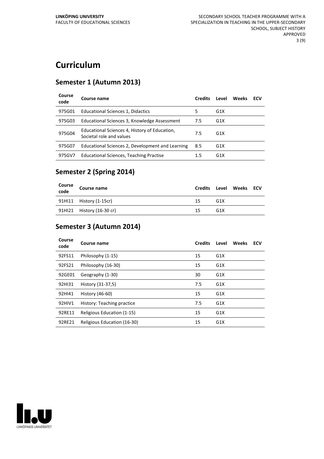# **Curriculum**

#### **Semester 1 (Autumn 2013)**

| Course<br>code | Course name                                                               | <b>Credits</b> | Level            | Weeks | ECV |
|----------------|---------------------------------------------------------------------------|----------------|------------------|-------|-----|
| 975G01         | Educational Sciences 1, Didactics                                         | 5              | G <sub>1</sub> X |       |     |
| 975G03         | Educational Sciences 3, Knowledge Assessment                              | 7.5            | G <sub>1</sub> X |       |     |
| 975G04         | Educational Sciences 4, History of Education,<br>Societal role and values | 7.5            | G <sub>1</sub> X |       |     |
| 975G07         | Educational Sciences 2, Development and Learning                          | 8.5            | G <sub>1</sub> X |       |     |
| 975GV7         | Educational Sciences, Teaching Practise                                   | 1.5            | G <sub>1</sub> X |       |     |

#### **Semester 2 (Spring 2014)**

| Course<br>code | Course name               | <b>Credits</b> |                 | Level Weeks ECV |  |
|----------------|---------------------------|----------------|-----------------|-----------------|--|
|                | 91HI11 History (1-15cr)   | 15             | G <sub>1X</sub> |                 |  |
|                | 91HI21 History (16-30 cr) | 15             | G <sub>1X</sub> |                 |  |

#### **Semester 3 (Autumn 2014)**

| Course<br>code | Course name                 | <b>Credits</b> | Level            | Weeks | <b>ECV</b> |
|----------------|-----------------------------|----------------|------------------|-------|------------|
| 92FS11         | Philosophy (1-15)           | 15             | G1X              |       |            |
| 92FS21         | Philosophy (16-30)          | 15             | G1X              |       |            |
| 92GE01         | Geography (1-30)            | 30             | G1X              |       |            |
| 92HI31         | History (31-37,5)           | 7.5            | G1X              |       |            |
| 92HI41         | History (46-60)             | 15             | G1X              |       |            |
| 92HIV1         | History: Teaching practice  | 7.5            | G <sub>1</sub> X |       |            |
| 92RE11         | Religious Education (1-15)  | 15             | G <sub>1</sub> X |       |            |
| 92RE21         | Religious Education (16-30) | 15             | G <sub>1</sub> X |       |            |

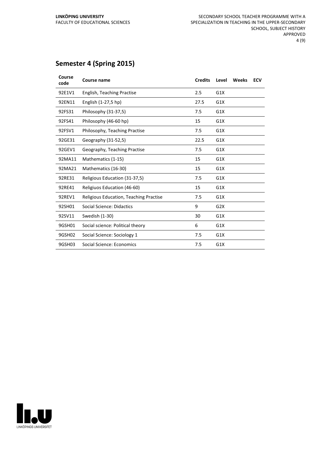### **Semester 4 (Spring 2015)**

| Course<br>code | <b>Course name</b>                     | <b>Credits</b> | Level | Weeks | <b>ECV</b> |
|----------------|----------------------------------------|----------------|-------|-------|------------|
| 92E1V1         | English, Teaching Practise             | 2.5            | G1X   |       |            |
| 92EN11         | English (1-27,5 hp)                    | 27.5           | G1X   |       |            |
| 92FS31         | Philosophy (31-37,5)                   | 7.5            | G1X   |       |            |
| 92FS41         | Philosophy (46-60 hp)                  | 15             | G1X   |       |            |
| 92FSV1         | Philosophy, Teaching Practise          | 7.5            | G1X   |       |            |
| 92GE31         | Geography (31-52,5)                    | 22.5           | G1X   |       |            |
| 92GEV1         | Geography, Teaching Practise           | 7.5            | G1X   |       |            |
| 92MA11         | Mathematics (1-15)                     | 15             | G1X   |       |            |
| 92MA21         | Mathematics (16-30)                    | 15             | G1X   |       |            |
| 92RE31         | Religious Education (31-37,5)          | 7.5            | G1X   |       |            |
| 92RE41         | Religiuos Education (46-60)            | 15             | G1X   |       |            |
| 92REV1         | Religious Education, Teaching Practise | 7.5            | G1X   |       |            |
| 92SH01         | <b>Social Science: Didactics</b>       | 9              | G2X   |       |            |
| 92SV11         | Swedish (1-30)                         | 30             | G1X   |       |            |
| 9GSH01         | Social science: Political theory       | 6              | G1X   |       |            |
| 9GSH02         | Social Science: Sociology 1            | 7.5            | G1X   |       |            |
| 9GSH03         | Social Science: Economics              | 7.5            | G1X   |       |            |

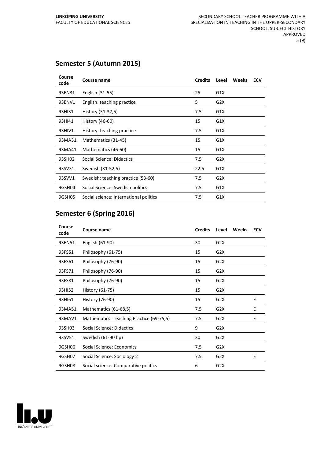#### **Semester 5 (Autumn 2015)**

| Course<br>code | Course name                            | <b>Credits</b> | Level | Weeks | <b>ECV</b> |
|----------------|----------------------------------------|----------------|-------|-------|------------|
| 93EN31         | English (31-55)                        | 25             | G1X   |       |            |
| 93ENV1         | English: teaching practice             | 5              | G2X   |       |            |
| 93HI31         | History (31-37,5)                      | 7.5            | G1X   |       |            |
| 93HI41         | History (46-60)                        | 15             | G1X   |       |            |
| 93HIV1         | History: teaching practice             | 7.5            | G1X   |       |            |
| 93MA31         | Mathematics (31-45)                    | 15             | G1X   |       |            |
| 93MA41         | Mathematics (46-60)                    | 15             | G1X   |       |            |
| 93SH02         | Social Science: Didactics              | 7.5            | G2X   |       |            |
| 93SV31         | Swedish (31-52.5)                      | 22.5           | G1X   |       |            |
| 93SVV1         | Swedish: teaching practice (53-60)     | 7.5            | G2X   |       |            |
| 9GSH04         | Social Science: Swedish politics       | 7.5            | G1X   |       |            |
| 9GSH05         | Social science: International politics | 7.5            | G1X   |       |            |

#### **Semester 6 (Spring 2016)**

| Course<br>code | Course name                              | <b>Credits</b> | Level            | Weeks | <b>ECV</b> |
|----------------|------------------------------------------|----------------|------------------|-------|------------|
| 93EN51         | English (61-90)                          | 30             | G <sub>2</sub> X |       |            |
| 93FS51         | Philosophy (61-75)                       | 15             | G <sub>2</sub> X |       |            |
| 93FS61         | Philosophy (76-90)                       | 15             | G <sub>2</sub> X |       |            |
| 93FS71         | Philosophy (76-90)                       | 15             | G <sub>2</sub> X |       |            |
| 93FS81         | Philosophy (76-90)                       | 15             | G <sub>2</sub> X |       |            |
| 93HI52         | History (61-75)                          | 15             | G <sub>2</sub> X |       |            |
| 93HI61         | History (76-90)                          | 15             | G <sub>2</sub> X |       | E          |
| 93MA51         | Mathematics (61-68,5)                    | 7.5            | G <sub>2</sub> X |       | E          |
| 93MAV1         | Mathematics: Teaching Practice (69-75,5) | 7.5            | G <sub>2</sub> X |       | E          |
| 93SH03         | Social Science: Didactics                | 9              | G <sub>2</sub> X |       |            |
| 93SV51         | Swedish (61-90 hp)                       | 30             | G <sub>2</sub> X |       |            |
| 9GSH06         | Social Science: Economics                | 7.5            | G <sub>2</sub> X |       |            |
| 9GSH07         | Social Science: Sociology 2              | 7.5            | G <sub>2</sub> X |       | Е          |
| 9GSH08         | Social science: Comparative politics     | 6              | G <sub>2</sub> X |       |            |

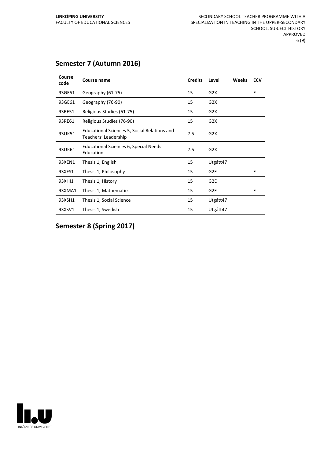#### **Semester 7 (Autumn 2016)**

| Course<br>code | Course name                                                          | <b>Credits</b> | Level           | Weeks | <b>ECV</b> |
|----------------|----------------------------------------------------------------------|----------------|-----------------|-------|------------|
| 93GE51         | Geography (61-75)                                                    | 15             | G2X             |       | E          |
| 93GE61         | Geography (76-90)                                                    | 15             | G2X             |       |            |
| 93RE51         | Religious Studies (61-75)                                            | 15             | G2X             |       |            |
| 93RE61         | Religious Studies (76-90)                                            | 15             | G2X             |       |            |
| 93UK51         | Educational Sciences 5, Social Relations and<br>Teachers' Leadership | 7.5            | G2X             |       |            |
| 93UK61         | <b>Educational Sciences 6, Special Needs</b><br>Education            | 7.5            | G2X             |       |            |
| 93XEN1         | Thesis 1, English                                                    | 15             | Utgått47        |       |            |
| 93XFS1         | Thesis 1, Philosophy                                                 | 15             | G <sub>2E</sub> |       | E          |
| 93XHI1         | Thesis 1, History                                                    | 15             | G <sub>2E</sub> |       |            |
| 93XMA1         | Thesis 1, Mathematics                                                | 15             | G <sub>2E</sub> |       | F          |
| 93XSH1         | Thesis 1, Social Science                                             | 15             | Utgått47        |       |            |
| 93XSV1         | Thesis 1, Swedish                                                    | 15             | Utgått47        |       |            |

**Semester 8 (Spring 2017)**

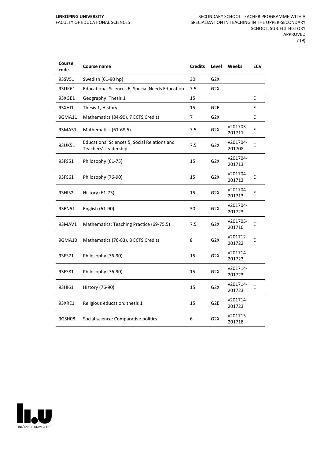| Course<br>code | Course name                                                          | <b>Credits</b> | Level            | <b>Weeks</b>       | <b>ECV</b> |
|----------------|----------------------------------------------------------------------|----------------|------------------|--------------------|------------|
| 93SV51         | Swedish (61-90 hp)                                                   | 30             | G <sub>2</sub> X |                    |            |
| 93UK61         | <b>Educational Sciences 6, Special Needs Education</b>               | 7.5            | G <sub>2</sub> X |                    |            |
| 93XGE1         | Geography: Thesis 1                                                  | 15             |                  |                    | Е          |
| 93XHI1         | Thesis 1, History                                                    | 15             | G <sub>2E</sub>  |                    | E          |
| 9GMA11         | Mathematics (84-90), 7 ECTS Credits                                  | 7              | G <sub>2</sub> X |                    | E          |
| 93MA51         | Mathematics (61-68,5)                                                | 7.5            | G <sub>2</sub> X | v201703-<br>201711 | E          |
| 93UK51         | Educational Sciences 5, Social Relations and<br>Teachers' Leadership | 7.5            | G <sub>2</sub> X | v201704-<br>201708 | E          |
| 93FS51         | Philosophy (61-75)                                                   | 15             | G <sub>2</sub> X | v201704-<br>201713 |            |
| 93FS61         | Philosophy (76-90)                                                   | 15             | G <sub>2</sub> X | v201704-<br>201713 | E          |
| 93HI52         | History (61-75)                                                      | 15             | G <sub>2</sub> X | v201704-<br>201713 | E          |
| 93EN51         | English (61-90)                                                      | 30             | G <sub>2</sub> X | v201704-<br>201723 |            |
| 93MAV1         | Mathematics: Teaching Practice (69-75,5)                             | 7.5            | G <sub>2</sub> X | v201705-<br>201710 | E          |
| 9GMA10         | Mathematics (76-83), 8 ECTS Credits                                  | 8              | G <sub>2</sub> X | v201712-<br>201722 | E          |
| 93FS71         | Philosophy (76-90)                                                   | 15             | G <sub>2</sub> X | v201714-<br>201723 |            |
| 93FS81         | Philosophy (76-90)                                                   | 15             | G <sub>2</sub> X | v201714-<br>201723 |            |
| 93HI61         | History (76-90)                                                      | 15             | G2X              | v201714-<br>201723 | E          |
| 93XRE1         | Religious education: thesis 1                                        | 15             | G <sub>2E</sub>  | v201714-<br>201723 |            |
| 9GSH08         | Social science: Comparative politics                                 | 6              | G <sub>2</sub> X | v201715-<br>201718 |            |

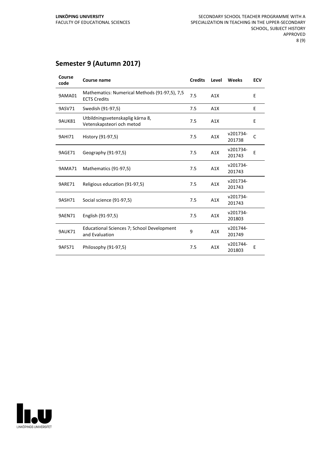#### **Semester 9 (Autumn 2017)**

| Course<br>code | Course name                                                          | <b>Credits</b> | Level | Weeks              | <b>ECV</b>   |
|----------------|----------------------------------------------------------------------|----------------|-------|--------------------|--------------|
| 9AMA01         | Mathematics: Numerical Methods (91-97,5), 7,5<br><b>ECTS Credits</b> | 7.5            | A1X   |                    | E            |
| 9ASV71         | Swedish (91-97,5)                                                    | 7.5            | A1X   |                    | E            |
| 9AUK81         | Utbildningsvetenskaplig kärna 8,<br>Vetenskapsteori och metod        | 7.5            | A1X   |                    | E            |
| 9AHI71         | History (91-97,5)                                                    | 7.5            | A1X   | v201734-<br>201738 | $\mathsf{C}$ |
| 9AGE71         | Geography (91-97,5)                                                  | 7.5            | A1X   | v201734-<br>201743 | E            |
| 9AMA71         | Mathematics (91-97,5)                                                | 7.5            | A1X   | v201734-<br>201743 |              |
| <b>9ARE71</b>  | Religious education (91-97,5)                                        | 7.5            | A1X   | v201734-<br>201743 |              |
| 9ASH71         | Social science (91-97,5)                                             | 7.5            | A1X   | v201734-<br>201743 |              |
| <b>9AEN71</b>  | English (91-97,5)                                                    | 7.5            | A1X   | v201734-<br>201803 |              |
| <b>9AUK71</b>  | Educational Sciences 7; School Development<br>and Evaluation         | 9              | A1X   | v201744-<br>201749 |              |
| 9AFS71         | Philosophy (91-97,5)                                                 | 7.5            | A1X   | v201744-<br>201803 | E            |